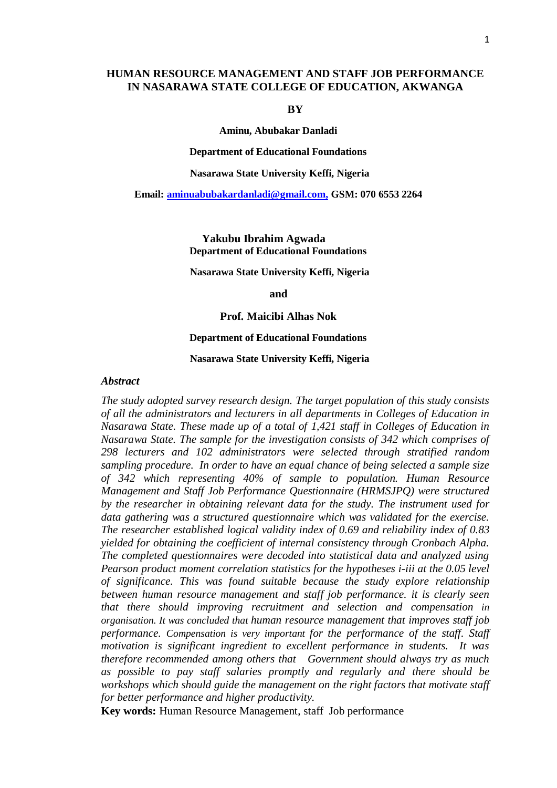# **HUMAN RESOURCE MANAGEMENT AND STAFF JOB PERFORMANCE IN NASARAWA STATE COLLEGE OF EDUCATION, AKWANGA**

#### **BY**

**Aminu, Abubakar Danladi**

#### **Department of Educational Foundations**

**Nasarawa State University Keffi, Nigeria**

## **Email: [aminuabubakardanladi@gmail.com,](mailto:aminuabubakardanladi@gmail.com) GSM: 070 6553 2264**

**Yakubu Ibrahim Agwada Department of Educational Foundations**

#### **Nasarawa State University Keffi, Nigeria**

**and**

## **Prof. Maicibi Alhas Nok**

#### **Department of Educational Foundations**

## **Nasarawa State University Keffi, Nigeria**

## *Abstract*

*The study adopted survey research design. The target population of this study consists of all the administrators and lecturers in all departments in Colleges of Education in Nasarawa State. These made up of a total of 1,421 staff in Colleges of Education in Nasarawa State. The sample for the investigation consists of 342 which comprises of 298 lecturers and 102 administrators were selected through stratified random sampling procedure. In order to have an equal chance of being selected a sample size of 342 which representing 40% of sample to population. Human Resource Management and Staff Job Performance Questionnaire (HRMSJPQ) were structured by the researcher in obtaining relevant data for the study. The instrument used for data gathering was a structured questionnaire which was validated for the exercise. The researcher established logical validity index of 0.69 and reliability index of 0.83 yielded for obtaining the coefficient of internal consistency through Cronbach Alpha. The completed questionnaires were decoded into statistical data and analyzed using Pearson product moment correlation statistics for the hypotheses i-iii at the 0.05 level of significance. This was found suitable because the study explore relationship between human resource management and staff job performance. it is clearly seen that there should improving recruitment and selection and compensation in organisation. It was concluded that human resource management that improves staff job performance. Compensation is very important for the performance of the staff. Staff motivation is significant ingredient to excellent performance in students. It was therefore recommended among others that Government should always try as much as possible to pay staff salaries promptly and regularly and there should be workshops which should guide the management on the right factors that motivate staff for better performance and higher productivity.*

**Key words:** Human Resource Management, staff Job performance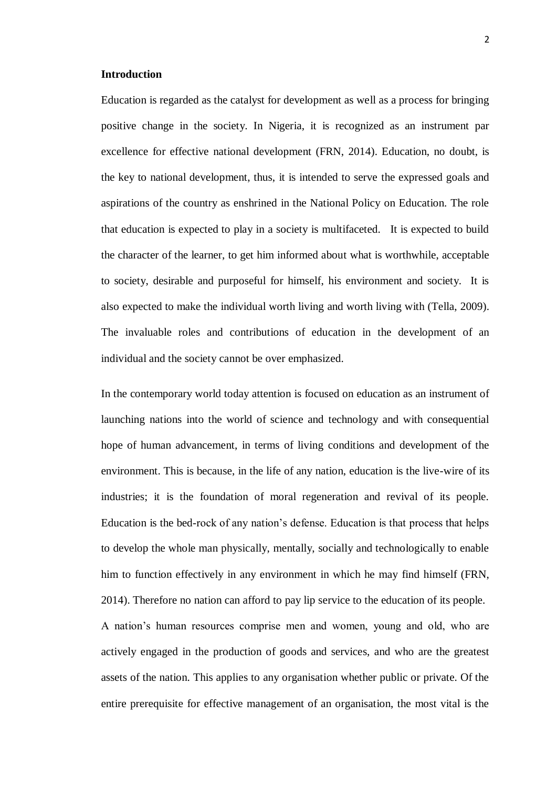## **Introduction**

Education is regarded as the catalyst for development as well as a process for bringing positive change in the society. In Nigeria, it is recognized as an instrument par excellence for effective national development (FRN, 2014). Education, no doubt, is the key to national development, thus, it is intended to serve the expressed goals and aspirations of the country as enshrined in the National Policy on Education. The role that education is expected to play in a society is multifaceted. It is expected to build the character of the learner, to get him informed about what is worthwhile, acceptable to society, desirable and purposeful for himself, his environment and society. It is also expected to make the individual worth living and worth living with (Tella, 2009). The invaluable roles and contributions of education in the development of an individual and the society cannot be over emphasized.

In the contemporary world today attention is focused on education as an instrument of launching nations into the world of science and technology and with consequential hope of human advancement, in terms of living conditions and development of the environment. This is because, in the life of any nation, education is the live-wire of its industries; it is the foundation of moral regeneration and revival of its people. Education is the bed-rock of any nation's defense. Education is that process that helps to develop the whole man physically, mentally, socially and technologically to enable him to function effectively in any environment in which he may find himself (FRN, 2014). Therefore no nation can afford to pay lip service to the education of its people.

A nation's human resources comprise men and women, young and old, who are actively engaged in the production of goods and services, and who are the greatest assets of the nation. This applies to any organisation whether public or private. Of the entire prerequisite for effective management of an organisation, the most vital is the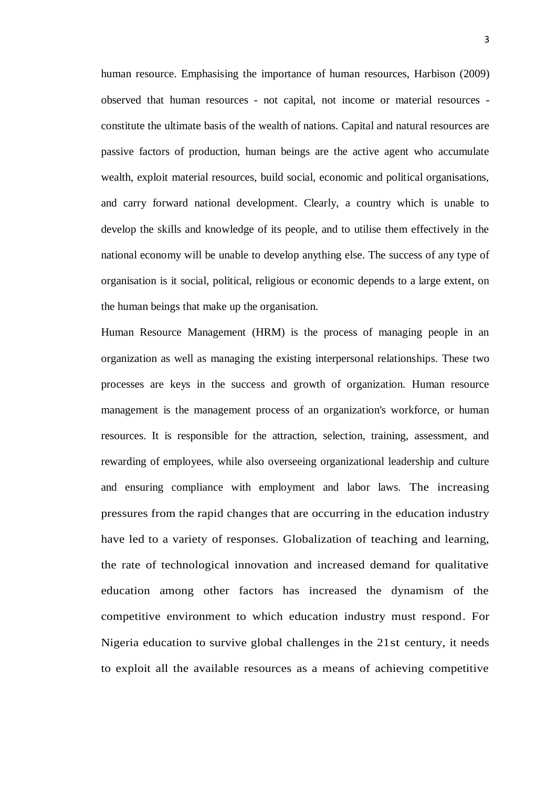human resource. Emphasising the importance of human resources, Harbison (2009) observed that human resources - not capital, not income or material resources constitute the ultimate basis of the wealth of nations. Capital and natural resources are passive factors of production, human beings are the active agent who accumulate wealth, exploit material resources, build social, economic and political organisations, and carry forward national development. Clearly, a country which is unable to develop the skills and knowledge of its people, and to utilise them effectively in the national economy will be unable to develop anything else. The success of any type of organisation is it social, political, religious or economic depends to a large extent, on the human beings that make up the organisation.

Human Resource Management (HRM) is the process of managing people in an organization as well as managing the existing interpersonal relationships. These two processes are keys in the success and growth of organization. Human resource management is the management process of an organization's workforce, or human resources. It is responsible for the attraction, selection, training, assessment, and rewarding of employees, while also overseeing organizational leadership and culture and ensuring compliance with employment and labor laws. The increasing pressures from the rapid changes that are occurring in the education industry have led to a variety of responses. Globalization of teaching and learning, the rate of technological innovation and increased demand for qualitative education among other factors has increased the dynamism of the competitive environment to which education industry must respond. For Nigeria education to survive global challenges in the 21st century, it needs to exploit all the available resources as a means of achieving competitive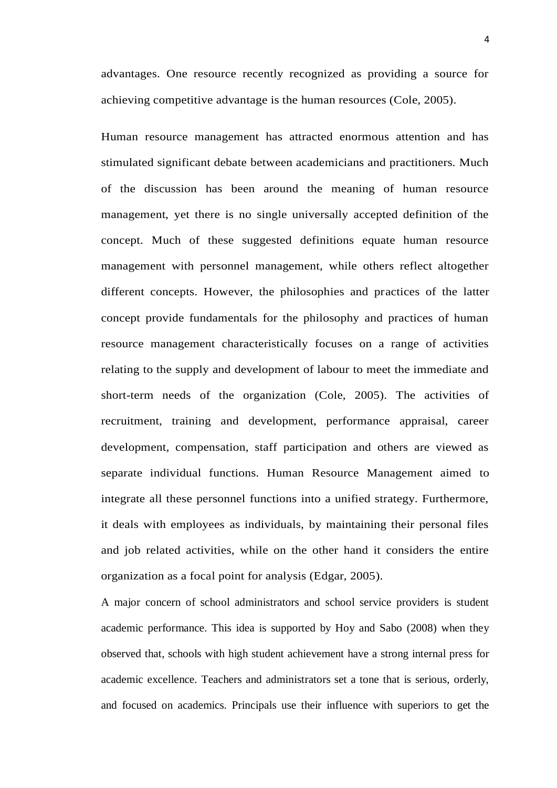advantages. One resource recently recognized as providing a source for achieving competitive advantage is the human resources (Cole, 2005).

Human resource management has attracted enormous attention and has stimulated significant debate between academicians and practitioners. Much of the discussion has been around the meaning of human resource management, yet there is no single universally accepted definition of the concept. Much of these suggested definitions equate human resource management with personnel management, while others reflect altogether different concepts. However, the philosophies and practices of the latter concept provide fundamentals for the philosophy and practices of human resource management characteristically focuses on a range of activities relating to the supply and development of labour to meet the immediate and short-term needs of the organization (Cole, 2005). The activities of recruitment, training and development, performance appraisal, career development, compensation, staff participation and others are viewed as separate individual functions. Human Resource Management aimed to integrate all these personnel functions into a unified strategy. Furthermore, it deals with employees as individuals, by maintaining their personal files and job related activities, while on the other hand it considers the entire organization as a focal point for analysis (Edgar, 2005).

A major concern of school administrators and school service providers is student academic performance. This idea is supported by Hoy and Sabo (2008) when they observed that, schools with high student achievement have a strong internal press for academic excellence. Teachers and administrators set a tone that is serious, orderly, and focused on academics. Principals use their influence with superiors to get the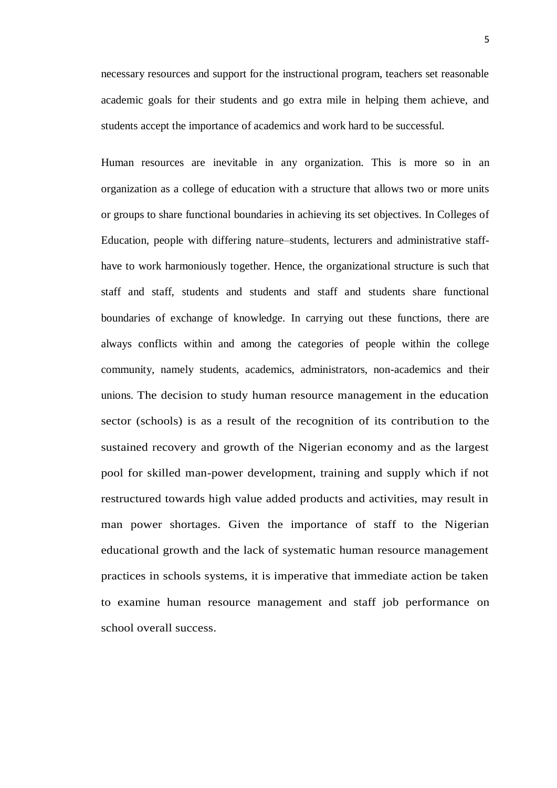necessary resources and support for the instructional program, teachers set reasonable academic goals for their students and go extra mile in helping them achieve, and students accept the importance of academics and work hard to be successful.

Human resources are inevitable in any organization. This is more so in an organization as a college of education with a structure that allows two or more units or groups to share functional boundaries in achieving its set objectives. In Colleges of Education, people with differing nature–students, lecturers and administrative staffhave to work harmoniously together. Hence, the organizational structure is such that staff and staff, students and students and staff and students share functional boundaries of exchange of knowledge. In carrying out these functions, there are always conflicts within and among the categories of people within the college community, namely students, academics, administrators, non-academics and their unions. The decision to study human resource management in the education sector (schools) is as a result of the recognition of its contribution to the sustained recovery and growth of the Nigerian economy and as the largest pool for skilled man-power development, training and supply which if not restructured towards high value added products and activities, may result in man power shortages. Given the importance of staff to the Nigerian educational growth and the lack of systematic human resource management practices in schools systems, it is imperative that immediate action be taken to examine human resource management and staff job performance on school overall success.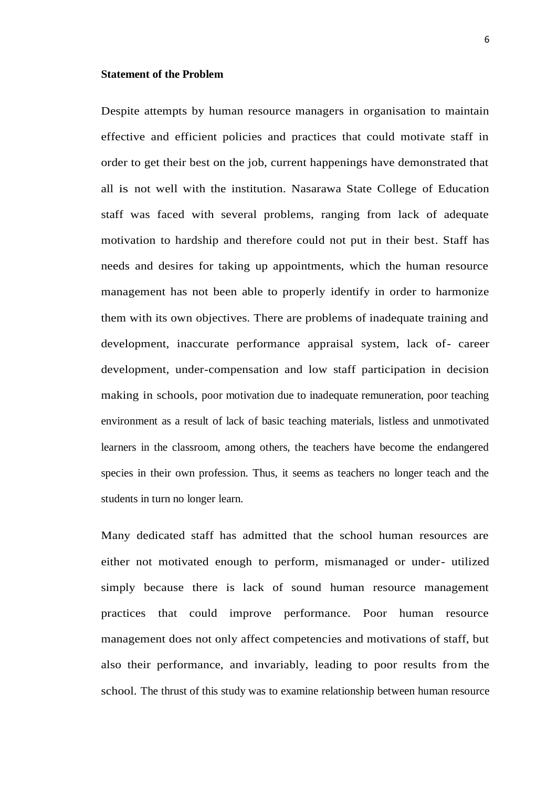## **Statement of the Problem**

Despite attempts by human resource managers in organisation to maintain effective and efficient policies and practices that could motivate staff in order to get their best on the job, current happenings have demonstrated that all is not well with the institution. Nasarawa State College of Education staff was faced with several problems, ranging from lack of adequate motivation to hardship and therefore could not put in their best. Staff has needs and desires for taking up appointments, which the human resource management has not been able to properly identify in order to harmonize them with its own objectives. There are problems of inadequate training and development, inaccurate performance appraisal system, lack of- career development, under-compensation and low staff participation in decision making in schools, poor motivation due to inadequate remuneration, poor teaching environment as a result of lack of basic teaching materials, listless and unmotivated learners in the classroom, among others, the teachers have become the endangered species in their own profession. Thus, it seems as teachers no longer teach and the students in turn no longer learn.

Many dedicated staff has admitted that the school human resources are either not motivated enough to perform, mismanaged or under- utilized simply because there is lack of sound human resource management practices that could improve performance. Poor human resource management does not only affect competencies and motivations of staff, but also their performance, and invariably, leading to poor results from the school. The thrust of this study was to examine relationship between human resource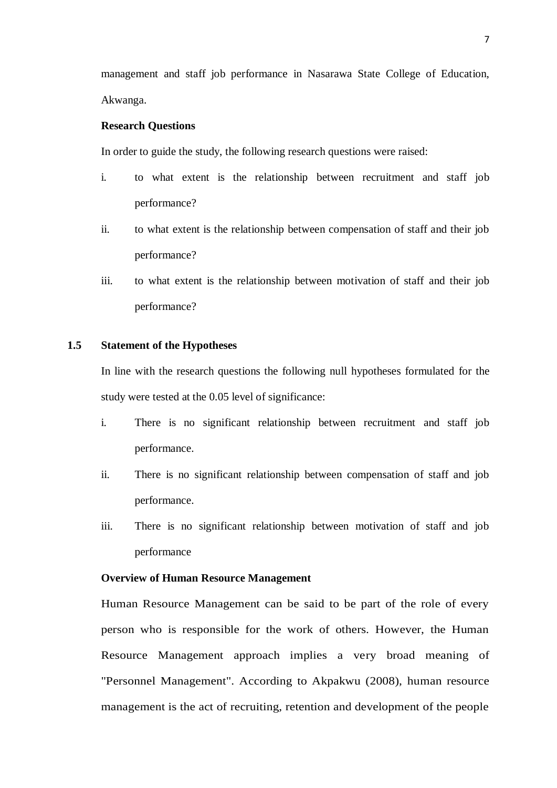management and staff job performance in Nasarawa State College of Education, Akwanga.

## **Research Questions**

In order to guide the study, the following research questions were raised:

- i. to what extent is the relationship between recruitment and staff job performance?
- ii. to what extent is the relationship between compensation of staff and their job performance?
- iii. to what extent is the relationship between motivation of staff and their job performance?

# **1.5 Statement of the Hypotheses**

In line with the research questions the following null hypotheses formulated for the study were tested at the 0.05 level of significance:

- i. There is no significant relationship between recruitment and staff job performance.
- ii. There is no significant relationship between compensation of staff and job performance.
- iii. There is no significant relationship between motivation of staff and job performance

## **Overview of Human Resource Management**

Human Resource Management can be said to be part of the role of every person who is responsible for the work of others. However, the Human Resource Management approach implies a very broad meaning of "Personnel Management". According to Akpakwu (2008), human resource management is the act of recruiting, retention and development of the people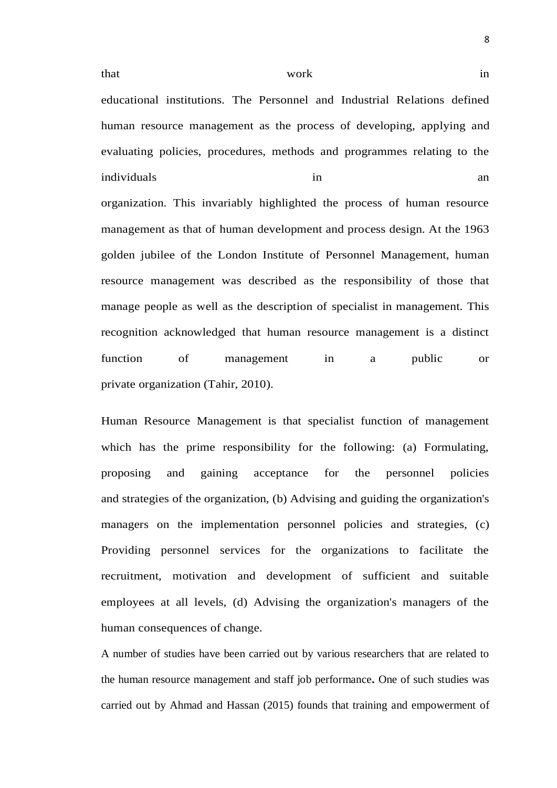that work in

educational institutions. The Personnel and Industrial Relations defined human resource management as the process of developing, applying and evaluating policies, procedures, methods and programmes relating to the individuals in an organization. This invariably highlighted the process of human resource management as that of human development and process design. At the 1963 golden jubilee of the London Institute of Personnel Management, human resource management was described as the responsibility of those that manage people as well as the description of specialist in management. This recognition acknowledged that human resource management is a distinct function of management in a public or private organization (Tahir, 2010).

Human Resource Management is that specialist function of management which has the prime responsibility for the following: (a) Formulating, proposing and gaining acceptance for the personnel policies and strategies of the organization, (b) Advising and guiding the organization's managers on the implementation personnel policies and strategies, (c) Providing personnel services for the organizations to facilitate the recruitment, motivation and development of sufficient and suitable employees at all levels, (d) Advising the organization's managers of the human consequences of change.

A number of studies have been carried out by various researchers that are related to the human resource management and staff job performance**.** One of such studies was carried out by Ahmad and Hassan (2015) founds that training and empowerment of

8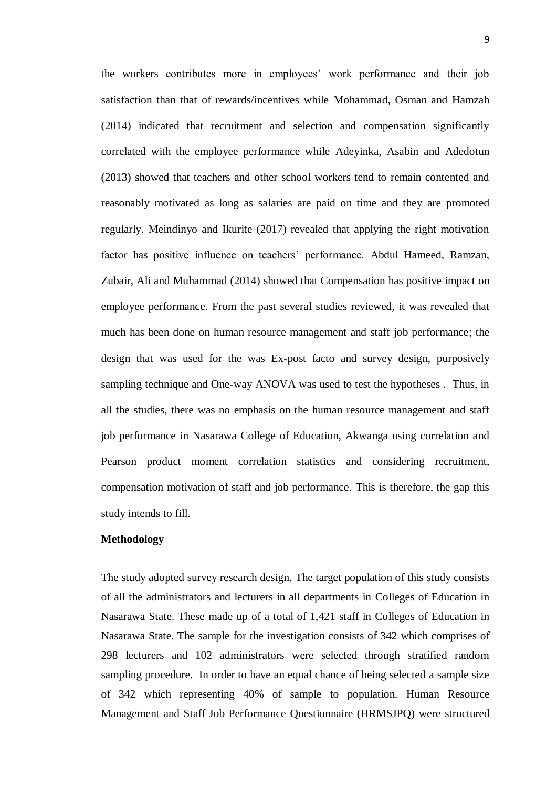the workers contributes more in employees' work performance and their job satisfaction than that of rewards/incentives while Mohammad, Osman and Hamzah (2014) indicated that recruitment and selection and compensation significantly correlated with the employee performance while Adeyinka, Asabin and Adedotun (2013) showed that teachers and other school workers tend to remain contented and reasonably motivated as long as salaries are paid on time and they are promoted regularly. Meindinyo and Ikurite (2017) revealed that applying the right motivation factor has positive influence on teachers' performance. Abdul Hameed, Ramzan, Zubair, Ali and Muhammad (2014) showed that Compensation has positive impact on employee performance. From the past several studies reviewed, it was revealed that much has been done on human resource management and staff job performance; the design that was used for the was Ex-post facto and survey design, purposively sampling technique and One-way ANOVA was used to test the hypotheses . Thus, in all the studies, there was no emphasis on the human resource management and staff job performance in Nasarawa College of Education, Akwanga using correlation and Pearson product moment correlation statistics and considering recruitment, compensation motivation of staff and job performance. This is therefore, the gap this study intends to fill.

## **Methodology**

The study adopted survey research design. The target population of this study consists of all the administrators and lecturers in all departments in Colleges of Education in Nasarawa State. These made up of a total of 1,421 staff in Colleges of Education in Nasarawa State. The sample for the investigation consists of 342 which comprises of 298 lecturers and 102 administrators were selected through stratified random sampling procedure. In order to have an equal chance of being selected a sample size of 342 which representing 40% of sample to population. Human Resource Management and Staff Job Performance Questionnaire (HRMSJPQ) were structured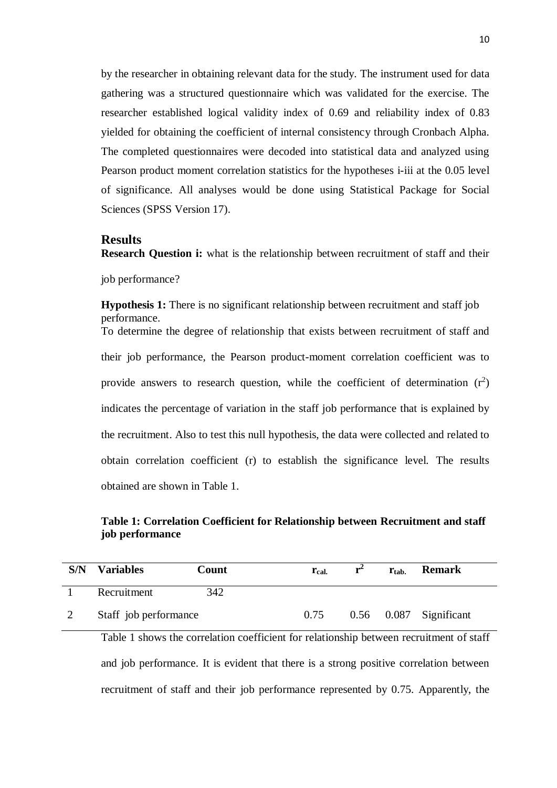by the researcher in obtaining relevant data for the study. The instrument used for data gathering was a structured questionnaire which was validated for the exercise. The researcher established logical validity index of 0.69 and reliability index of 0.83 yielded for obtaining the coefficient of internal consistency through Cronbach Alpha. The completed questionnaires were decoded into statistical data and analyzed using Pearson product moment correlation statistics for the hypotheses i-iii at the 0.05 level of significance. All analyses would be done using Statistical Package for Social Sciences (SPSS Version 17).

## **Results**

**Research Question i:** what is the relationship between recruitment of staff and their job performance?

**Hypothesis 1:** There is no significant relationship between recruitment and staff job performance. To determine the degree of relationship that exists between recruitment of staff and their job performance, the Pearson product-moment correlation coefficient was to provide answers to research question, while the coefficient of determination  $(r^2)$ indicates the percentage of variation in the staff job performance that is explained by the recruitment. Also to test this null hypothesis, the data were collected and related to obtain correlation coefficient (r) to establish the significance level. The results obtained are shown in Table 1.

# **Table 1: Correlation Coefficient for Relationship between Recruitment and staff job performance**

| S/N | <b>Variables</b>      | Count | $r_{cal.}$ | $r^2$ | $r_{\rm tab.}$ | <b>Remark</b>              |
|-----|-----------------------|-------|------------|-------|----------------|----------------------------|
|     | Recruitment           | 342   |            |       |                |                            |
|     | Staff job performance |       | 0.75       |       |                | $0.56$ $0.087$ Significant |

Table 1 shows the correlation coefficient for relationship between recruitment of staff and job performance. It is evident that there is a strong positive correlation between recruitment of staff and their job performance represented by 0.75. Apparently, the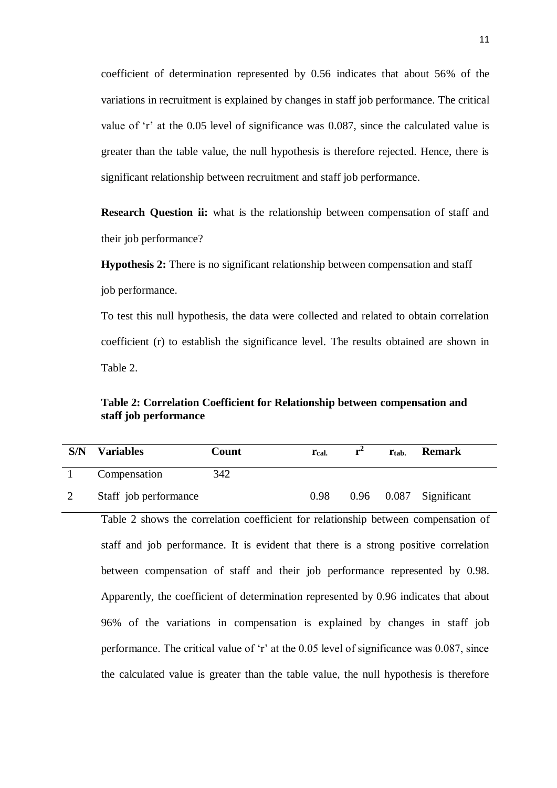coefficient of determination represented by 0.56 indicates that about 56% of the variations in recruitment is explained by changes in staff job performance. The critical value of 'r' at the 0.05 level of significance was 0.087, since the calculated value is greater than the table value, the null hypothesis is therefore rejected. Hence, there is significant relationship between recruitment and staff job performance.

**Research Question ii:** what is the relationship between compensation of staff and their job performance?

**Hypothesis 2:** There is no significant relationship between compensation and staff job performance.

To test this null hypothesis, the data were collected and related to obtain correlation coefficient (r) to establish the significance level. The results obtained are shown in Table 2.

# **Table 2: Correlation Coefficient for Relationship between compensation and staff job performance**

| S/N | <b>Variables</b>      | Count | <b>T</b> cal. | r | $r_{\rm{tab}}$ | <b>Remark</b>              |
|-----|-----------------------|-------|---------------|---|----------------|----------------------------|
|     | Compensation          | 342   |               |   |                |                            |
|     | Staff job performance |       | 0.98          |   |                | $0.96$ $0.087$ Significant |

Table 2 shows the correlation coefficient for relationship between compensation of staff and job performance. It is evident that there is a strong positive correlation between compensation of staff and their job performance represented by 0.98. Apparently, the coefficient of determination represented by 0.96 indicates that about 96% of the variations in compensation is explained by changes in staff job performance. The critical value of 'r' at the 0.05 level of significance was 0.087, since the calculated value is greater than the table value, the null hypothesis is therefore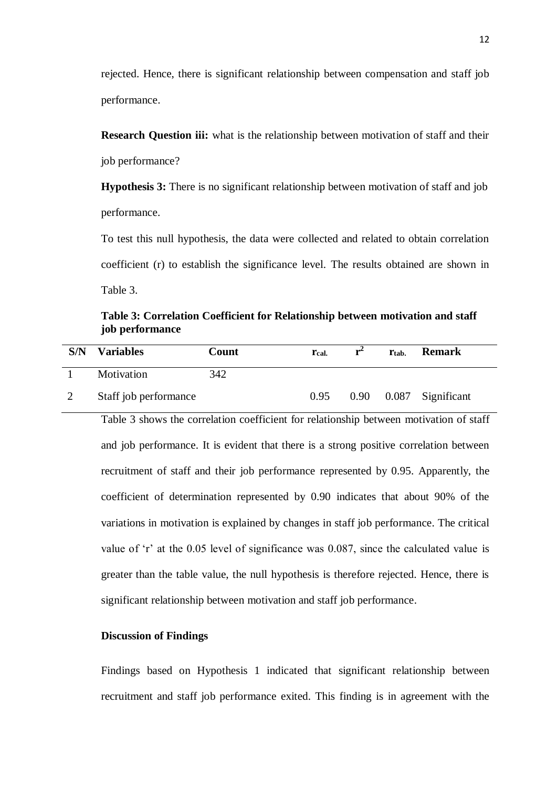rejected. Hence, there is significant relationship between compensation and staff job performance.

**Research Question iii:** what is the relationship between motivation of staff and their job performance?

**Hypothesis 3:** There is no significant relationship between motivation of staff and job performance.

To test this null hypothesis, the data were collected and related to obtain correlation coefficient (r) to establish the significance level. The results obtained are shown in Table 3.

**Table 3: Correlation Coefficient for Relationship between motivation and staff job performance**

| S/N | <b>Variables</b>      | Count | r <sub>cal</sub> | Ttab. | <b>Remark</b>              |
|-----|-----------------------|-------|------------------|-------|----------------------------|
|     | Motivation            | 342   |                  |       |                            |
|     | Staff job performance |       | 0.95             |       | $0.90$ $0.087$ Significant |

Table 3 shows the correlation coefficient for relationship between motivation of staff and job performance. It is evident that there is a strong positive correlation between recruitment of staff and their job performance represented by 0.95. Apparently, the coefficient of determination represented by 0.90 indicates that about 90% of the variations in motivation is explained by changes in staff job performance. The critical value of 'r' at the 0.05 level of significance was 0.087, since the calculated value is greater than the table value, the null hypothesis is therefore rejected. Hence, there is significant relationship between motivation and staff job performance.

## **Discussion of Findings**

Findings based on Hypothesis 1 indicated that significant relationship between recruitment and staff job performance exited. This finding is in agreement with the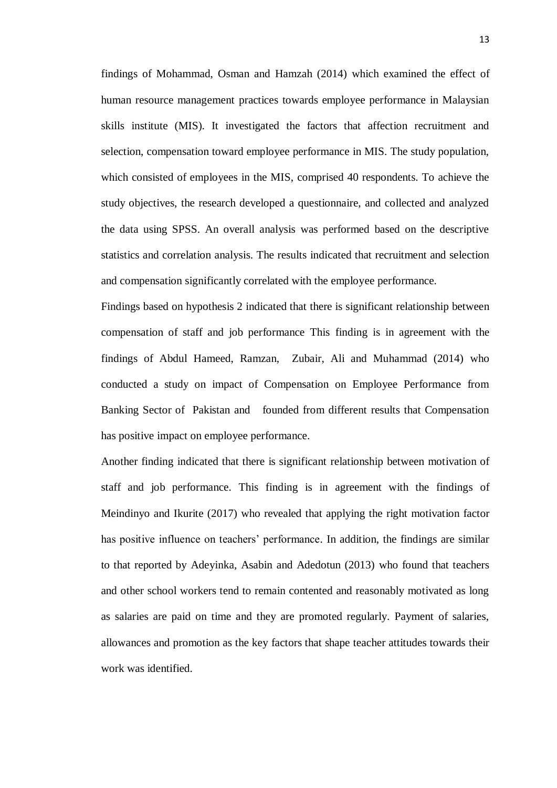findings of Mohammad, Osman and Hamzah (2014) which examined the effect of human resource management practices towards employee performance in Malaysian skills institute (MIS). It investigated the factors that affection recruitment and selection, compensation toward employee performance in MIS. The study population, which consisted of employees in the MIS, comprised 40 respondents. To achieve the study objectives, the research developed a questionnaire, and collected and analyzed the data using SPSS. An overall analysis was performed based on the descriptive statistics and correlation analysis. The results indicated that recruitment and selection and compensation significantly correlated with the employee performance.

Findings based on hypothesis 2 indicated that there is significant relationship between compensation of staff and job performance This finding is in agreement with the findings of Abdul Hameed, Ramzan, Zubair, Ali and Muhammad (2014) who conducted a study on impact of Compensation on Employee Performance from Banking Sector of Pakistan and founded from different results that Compensation has positive impact on employee performance.

Another finding indicated that there is significant relationship between motivation of staff and job performance. This finding is in agreement with the findings of Meindinyo and Ikurite (2017) who revealed that applying the right motivation factor has positive influence on teachers' performance. In addition, the findings are similar to that reported by Adeyinka, Asabin and Adedotun (2013) who found that teachers and other school workers tend to remain contented and reasonably motivated as long as salaries are paid on time and they are promoted regularly. Payment of salaries, allowances and promotion as the key factors that shape teacher attitudes towards their work was identified.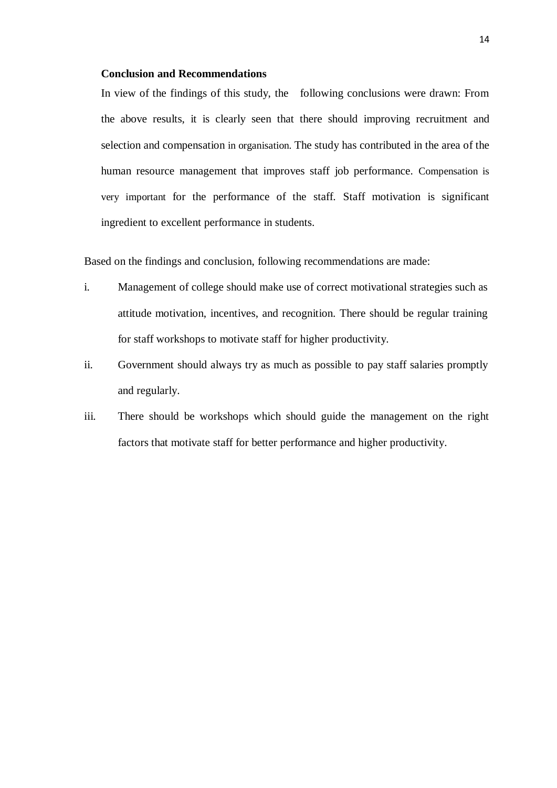#### **Conclusion and Recommendations**

In view of the findings of this study, the following conclusions were drawn: From the above results, it is clearly seen that there should improving recruitment and selection and compensation in organisation. The study has contributed in the area of the human resource management that improves staff job performance. Compensation is very important for the performance of the staff. Staff motivation is significant ingredient to excellent performance in students.

Based on the findings and conclusion, following recommendations are made:

- i. Management of college should make use of correct motivational strategies such as attitude motivation, incentives, and recognition. There should be regular training for staff workshops to motivate staff for higher productivity.
- ii. Government should always try as much as possible to pay staff salaries promptly and regularly.
- iii. There should be workshops which should guide the management on the right factors that motivate staff for better performance and higher productivity.